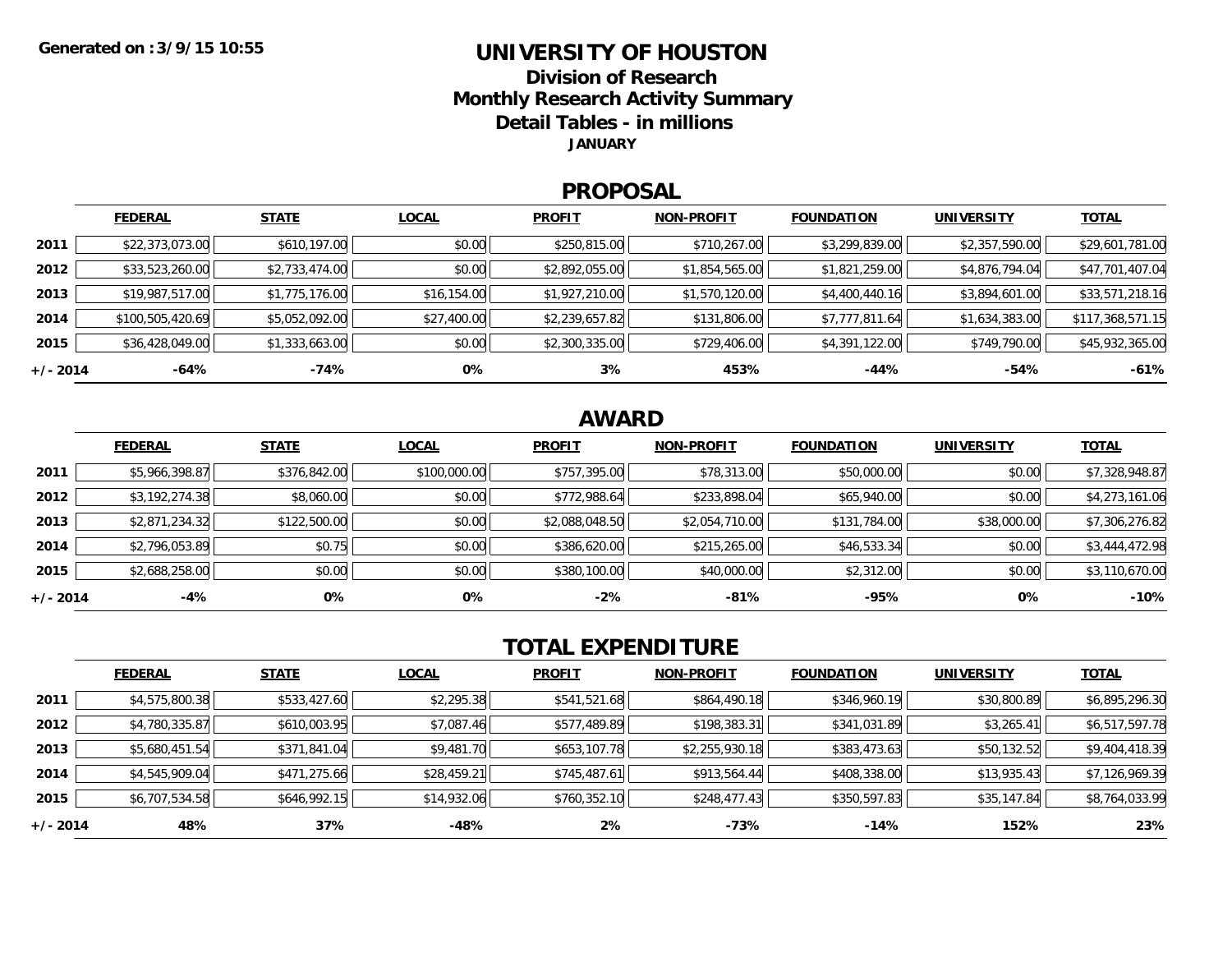## **UNIVERSITY OF HOUSTONDivision of ResearchMonthly Research Activity Summary Detail Tables - in millions**

**JANUARY**

#### **PROPOSAL**

|            | <b>FEDERAL</b>   | <b>STATE</b>   | <b>LOCAL</b> | <b>PROFIT</b>  | <b>NON-PROFIT</b> | <b>FOUNDATION</b> | <b>UNIVERSITY</b> | <u>TOTAL</u>     |
|------------|------------------|----------------|--------------|----------------|-------------------|-------------------|-------------------|------------------|
| 2011       | \$22,373,073.00  | \$610,197.00   | \$0.00       | \$250,815.00   | \$710,267.00      | \$3,299,839.00    | \$2,357,590.00    | \$29,601,781.00  |
| 2012       | \$33,523,260.00  | \$2,733,474.00 | \$0.00       | \$2,892,055.00 | \$1,854,565.00    | \$1,821,259.00    | \$4,876,794.04    | \$47,701,407.04  |
| 2013       | \$19,987,517.00  | \$1,775,176.00 | \$16,154.00  | \$1,927,210.00 | \$1,570,120.00    | \$4,400,440.16    | \$3,894,601.00    | \$33,571,218.16  |
| 2014       | \$100,505,420.69 | \$5,052,092.00 | \$27,400.00  | \$2,239,657.82 | \$131,806.00      | \$7,777,811.64    | \$1,634,383.00    | \$117,368,571.15 |
| 2015       | \$36,428,049.00  | \$1,333,663.00 | \$0.00       | \$2,300,335.00 | \$729,406.00      | \$4,391,122.00    | \$749,790.00      | \$45,932,365.00  |
| $+/- 2014$ | -64%             | -74%           | 0%           | 3%             | 453%              | -44%              | $-54%$            | $-61%$           |

## **AWARD**

|            | <b>FEDERAL</b> | <b>STATE</b> | <b>LOCAL</b> | <b>PROFIT</b>  | <b>NON-PROFIT</b> | <b>FOUNDATION</b> | <b>UNIVERSITY</b> | <b>TOTAL</b>   |
|------------|----------------|--------------|--------------|----------------|-------------------|-------------------|-------------------|----------------|
| 2011       | \$5,966,398.87 | \$376,842.00 | \$100,000.00 | \$757,395.00   | \$78,313.00       | \$50,000.00       | \$0.00            | \$7,328,948.87 |
| 2012       | \$3,192,274.38 | \$8,060.00   | \$0.00       | \$772,988.64   | \$233,898.04      | \$65,940.00       | \$0.00            | \$4,273,161.06 |
| 2013       | \$2,871,234.32 | \$122,500.00 | \$0.00       | \$2,088,048.50 | \$2,054,710.00    | \$131,784.00      | \$38,000.00       | \$7,306,276.82 |
| 2014       | \$2,796,053.89 | \$0.75       | \$0.00       | \$386,620.00   | \$215,265.00      | \$46,533.34       | \$0.00            | \$3,444,472.98 |
| 2015       | \$2,688,258.00 | \$0.00       | \$0.00       | \$380,100.00   | \$40,000.00       | \$2,312.00        | \$0.00            | \$3,110,670.00 |
| $+/- 2014$ | -4%            | 0%           | 0%           | $-2%$          | -81%              | $-95%$            | 0%                | $-10%$         |

# **TOTAL EXPENDITURE**

|          | <b>FEDERAL</b> | <b>STATE</b> | <b>LOCAL</b> | <b>PROFIT</b> | <b>NON-PROFIT</b> | <b>FOUNDATION</b> | <b>UNIVERSITY</b> | <b>TOTAL</b>   |
|----------|----------------|--------------|--------------|---------------|-------------------|-------------------|-------------------|----------------|
| 2011     | \$4,575,800.38 | \$533,427.60 | \$2,295.38   | \$541,521.68  | \$864,490.18      | \$346,960.19      | \$30,800.89       | \$6,895,296.30 |
| 2012     | \$4,780,335.87 | \$610,003.95 | \$7,087.46   | \$577,489.89  | \$198,383.31      | \$341,031.89      | \$3,265.41        | \$6,517,597.78 |
| 2013     | \$5,680,451.54 | \$371,841.04 | \$9,481.70   | \$653,107.78  | \$2,255,930.18    | \$383,473.63      | \$50,132.52       | \$9,404,418.39 |
| 2014     | \$4,545,909.04 | \$471,275.66 | \$28,459.21  | \$745,487.61  | \$913,564.44      | \$408,338.00      | \$13,935.43       | \$7,126,969.39 |
| 2015     | \$6,707,534.58 | \$646,992.15 | \$14,932.06  | \$760,352.10  | \$248,477.43      | \$350,597.83      | \$35,147.84       | \$8,764,033.99 |
| +/- 2014 | 48%            | 37%          | -48%         | 2%            | $-73%$            | $-14%$            | 152%              | 23%            |